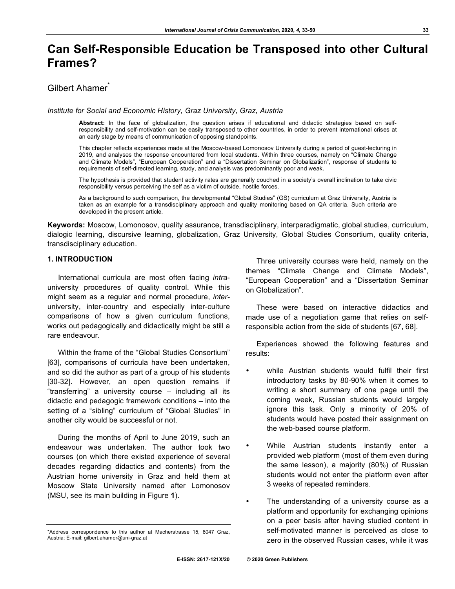# **Can Self-Responsible Education be Transposed into other Cultural Frames?**

# Gilbert Ahamer<sup>\*</sup>

*Institute for Social and Economic History, Graz University, Graz, Austria*

**Abstract:** In the face of globalization, the question arises if educational and didactic strategies based on selfresponsibility and self-motivation can be easily transposed to other countries, in order to prevent international crises at an early stage by means of communication of opposing standpoints.

This chapter reflects experiences made at the Moscow-based Lomonosov University during a period of guest-lecturing in 2019, and analyses the response encountered from local students. Within three courses, namely on "Climate Change and Climate Models", "European Cooperation" and a "Dissertation Seminar on Globalization", response of students to requirements of self-directed learning, study, and analysis was predominantly poor and weak.

The hypothesis is provided that student activity rates are generally couched in a society's overall inclination to take civic responsibility versus perceiving the self as a victim of outside, hostile forces.

As a background to such comparison, the developmental "Global Studies" (GS) curriculum at Graz University, Austria is taken as an example for a transdisciplinary approach and quality monitoring based on QA criteria. Such criteria are developed in the present article.

**Keywords:** Moscow, Lomonosov, quality assurance, transdisciplinary, interparadigmatic, global studies, curriculum, dialogic learning, discursive learning, globalization, Graz University, Global Studies Consortium, quality criteria, transdisciplinary education.

## **1. INTRODUCTION**

International curricula are most often facing *intra*university procedures of quality control. While this might seem as a regular and normal procedure, *inter*university, inter-country and especially inter-culture comparisons of how a given curriculum functions, works out pedagogically and didactically might be still a rare endeavour.

Within the frame of the "Global Studies Consortium" [63], comparisons of curricula have been undertaken, and so did the author as part of a group of his students [30-32]. However, an open question remains if "transferring" a university course – including all its didactic and pedagogic framework conditions – into the setting of a "sibling" curriculum of "Global Studies" in another city would be successful or not.

During the months of April to June 2019, such an endeavour was undertaken. The author took two courses (on which there existed experience of several decades regarding didactics and contents) from the Austrian home university in Graz and held them at Moscow State University named after Lomonosov (MSU, see its main building in Figure **1**).

Three university courses were held, namely on the themes "Climate Change and Climate Models", "European Cooperation" and a "Dissertation Seminar on Globalization".

These were based on interactive didactics and made use of a negotiation game that relies on selfresponsible action from the side of students [67, 68].

Experiences showed the following features and results:

- while Austrian students would fulfil their first introductory tasks by 80-90% when it comes to writing a short summary of one page until the coming week, Russian students would largely ignore this task. Only a minority of 20% of students would have posted their assignment on the web-based course platform.
- While Austrian students instantly enter a provided web platform (most of them even during the same lesson), a majority (80%) of Russian students would not enter the platform even after 3 weeks of repeated reminders.
- The understanding of a university course as a platform and opportunity for exchanging opinions on a peer basis after having studied content in self-motivated manner is perceived as close to zero in the observed Russian cases, while it was

<sup>\*</sup>Address correspondence to this author at Macherstrasse 15, 8047 Graz, Austria; E-mail: gilbert.ahamer@uni-graz.at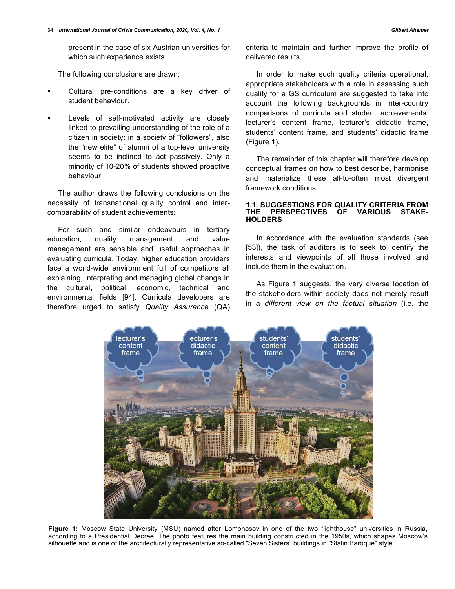present in the case of six Austrian universities for which such experience exists.

The following conclusions are drawn:

- Cultural pre-conditions are a key driver of student behaviour.
- Levels of self-motivated activity are closely linked to prevailing understanding of the role of a citizen in society: in a society of "followers", also the "new elite" of alumni of a top-level university seems to be inclined to act passively. Only a minority of 10-20% of students showed proactive behaviour.

The author draws the following conclusions on the necessity of transnational quality control and intercomparability of student achievements:

For such and similar endeavours in tertiary education, quality management and value management are sensible and useful approaches in evaluating curricula. Today, higher education providers face a world-wide environment full of competitors all explaining, interpreting and managing global change in the cultural, political, economic, technical and environmental fields [94]. Curricula developers are therefore urged to satisfy *Quality Assurance* (QA) criteria to maintain and further improve the profile of delivered results.

In order to make such quality criteria operational, appropriate stakeholders with a role in assessing such quality for a GS curriculum are suggested to take into account the following backgrounds in inter-country comparisons of curricula and student achievements: lecturer's content frame, lecturer's didactic frame, students' content frame, and students' didactic frame (Figure **1**).

The remainder of this chapter will therefore develop conceptual frames on how to best describe, harmonise and materialize these all-to-often most divergent framework conditions.

### **1.1. SUGGESTIONS FOR QUALITY CRITERIA FROM THE PERSPECTIVES OF VARIOUS STAKE-HOLDERS**

In accordance with the evaluation standards (see [53]), the task of auditors is to seek to identify the interests and viewpoints of all those involved and include them in the evaluation.

As Figure **1** suggests, the very diverse location of the stakeholders within society does not merely result in a *different view on the factual situation* (i.e. the



**Figure 1:** Moscow State University (MSU) named after Lomonosov in one of the two "lighthouse" universities in Russia, according to a Presidential Decree. The photo features the main building constructed in the 1950s, which shapes Moscow's silhouette and is one of the architecturally representative so-called "Seven Sisters" buildings in "Stalin Baroque" style.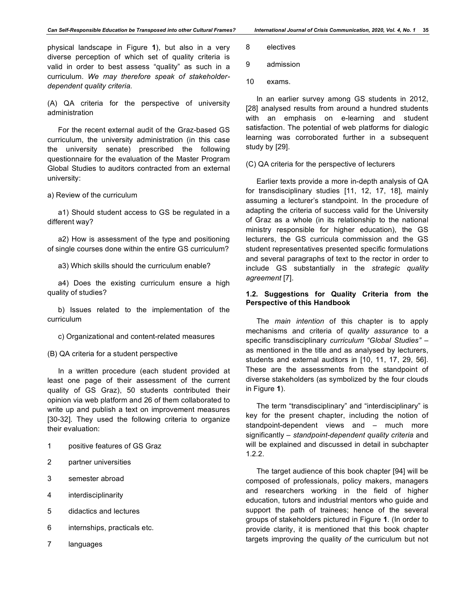physical landscape in Figure **1**), but also in a very diverse perception of which set of quality criteria is valid in order to best assess "quality" as such in a curriculum. *We may therefore speak of stakeholderdependent quality criteria.*

(A) QA criteria for the perspective of university administration

For the recent external audit of the Graz-based GS curriculum, the university administration (in this case the university senate) prescribed the following questionnaire for the evaluation of the Master Program Global Studies to auditors contracted from an external university:

a) Review of the curriculum

a1) Should student access to GS be regulated in a different way?

a2) How is assessment of the type and positioning of single courses done within the entire GS curriculum?

a3) Which skills should the curriculum enable?

a4) Does the existing curriculum ensure a high quality of studies?

b) Issues related to the implementation of the curriculum

c) Organizational and content-related measures

## (B) QA criteria for a student perspective

In a written procedure (each student provided at least one page of their assessment of the current quality of GS Graz), 50 students contributed their opinion via web platform and 26 of them collaborated to write up and publish a text on improvement measures [30-32]. They used the following criteria to organize their evaluation:

- 1 positive features of GS Graz
- 2 partner universities
- 3 semester abroad
- 4 interdisciplinarity
- 5 didactics and lectures
- 6 internships, practicals etc.
- 7 languages
- 8 electives
- 9 admission
- 10 exams.

In an earlier survey among GS students in 2012, [28] analysed results from around a hundred students with an emphasis on e-learning and student satisfaction. The potential of web platforms for dialogic learning was corroborated further in a subsequent study by [29].

(C) QA criteria for the perspective of lecturers

Earlier texts provide a more in-depth analysis of QA for transdisciplinary studies [11, 12, 17, 18], mainly assuming a lecturer's standpoint. In the procedure of adapting the criteria of success valid for the University of Graz as a whole (in its relationship to the national ministry responsible for higher education), the GS lecturers, the GS curricula commission and the GS student representatives presented specific formulations and several paragraphs of text to the rector in order to include GS substantially in the *strategic quality agreement* [7].

## **1.2. Suggestions for Quality Criteria from the Perspective of this Handbook**

The *main intention* of this chapter is to apply mechanisms and criteria of *quality assurance* to a specific transdisciplinary *curriculum "Global Studies"* – as mentioned in the title and as analysed by lecturers, students and external auditors in [10, 11, 17, 29, 56]. These are the assessments from the standpoint of diverse stakeholders (as symbolized by the four clouds in Figure **1**).

The term "transdisciplinary" and "interdisciplinary" is key for the present chapter, including the notion of standpoint-dependent views and – much more significantly – *standpoint-dependent quality criteria* and will be explained and discussed in detail in subchapter 1.2.2.

The target audience of this book chapter [94] will be composed of professionals, policy makers, managers and researchers working in the field of higher education, tutors and industrial mentors who guide and support the path of trainees; hence of the several groups of stakeholders pictured in Figure **1**. (In order to provide clarity, it is mentioned that this book chapter targets improving the quality *of* the curriculum but not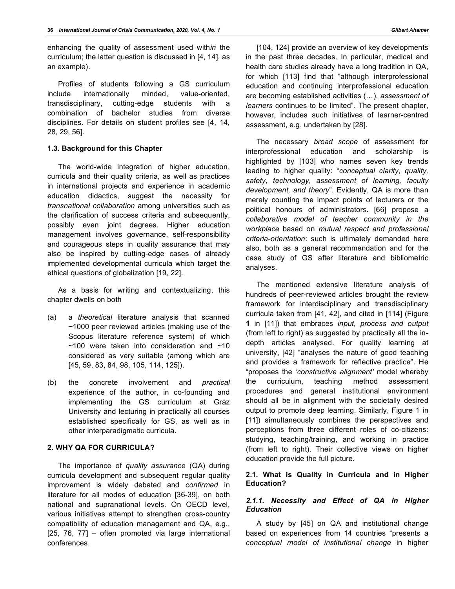enhancing the quality of assessment used with*in* the curriculum; the latter question is discussed in [4, 14], as an example).

Profiles of students following a GS curriculum include internationally minded, value-oriented, transdisciplinary, cutting-edge students with a combination of bachelor studies from diverse disciplines. For details on student profiles see [4, 14, 28, 29, 56].

## **1.3. Background for this Chapter**

The world-wide integration of higher education, curricula and their quality criteria, as well as practices in international projects and experience in academic education didactics, suggest the necessity for *transnational collaboration* among universities such as the clarification of success criteria and subsequently, possibly even joint degrees. Higher education management involves governance, self-responsibility and courageous steps in quality assurance that may also be inspired by cutting-edge cases of already implemented developmental curricula which target the ethical questions of globalization [19, 22].

As a basis for writing and contextualizing, this chapter dwells on both

- (a) a *theoretical* literature analysis that scanned ~1000 peer reviewed articles (making use of the Scopus literature reference system) of which  $\sim$ 100 were taken into consideration and  $\sim$ 10 considered as very suitable (among which are [45, 59, 83, 84, 98, 105, 114, 125]).
- (b) the concrete involvement and *practical*  experience of the author, in co-founding and implementing the GS curriculum at Graz University and lecturing in practically all courses established specifically for GS, as well as in other interparadigmatic curricula.

## **2. WHY QA FOR CURRICULA?**

The importance of *quality assurance* (QA) during curricula development and subsequent regular quality improvement is widely debated and *confirmed* in literature for all modes of education [36-39], on both national and supranational levels. On OECD level, various initiatives attempt to strengthen cross-country compatibility of education management and QA, e.g., [25, 76, 77] – often promoted via large international conferences.

[104, 124] provide an overview of key developments in the past three decades. In particular, medical and health care studies already have a long tradition in QA, for which [113] find that "although interprofessional education and continuing interprofessional education are becoming established activities (…), *assessment of learners* continues to be limited". The present chapter, however, includes such initiatives of learner-centred assessment, e.g. undertaken by [28].

The necessary *broad scope* of assessment for interprofessional education and scholarship is highlighted by [103] who names seven key trends leading to higher quality: "*conceptual clarity, quality, safety, technology, assessment of learning, faculty development, and theory*". Evidently, QA is more than merely counting the impact points of lecturers or the political honours of administrators. [66] propose a *collaborative model of teacher community in the workplace* based on *mutual respect and professional criteria-orientation*: such is ultimately demanded here also, both as a general recommendation and for the case study of GS after literature and bibliometric analyses.

The mentioned extensive literature analysis of hundreds of peer-reviewed articles brought the review framework for interdisciplinary and transdisciplinary curricula taken from [41, 42], and cited in [114] (Figure **1** in [11]) that embraces *input, process and output* (from left to right) as suggested by practically all the indepth articles analysed. For quality learning at university, [42] "analyses the nature of good teaching and provides a framework for reflective practice". He "proposes the '*constructive alignment'* model whereby the curriculum, teaching method assessment procedures and general institutional environment should all be in alignment with the societally desired output to promote deep learning. Similarly, Figure 1 in [11]) simultaneously combines the perspectives and perceptions from three different roles of co-citizens: studying, teaching/training, and working in practice (from left to right). Their collective views on higher education provide the full picture.

## **2.1. What is Quality in Curricula and in Higher Education?**

## *2.1.1. Necessity and Effect of QA in Higher Education*

A study by [45] on QA and institutional change based on experiences from 14 countries "presents a *conceptual model of institutional change* in higher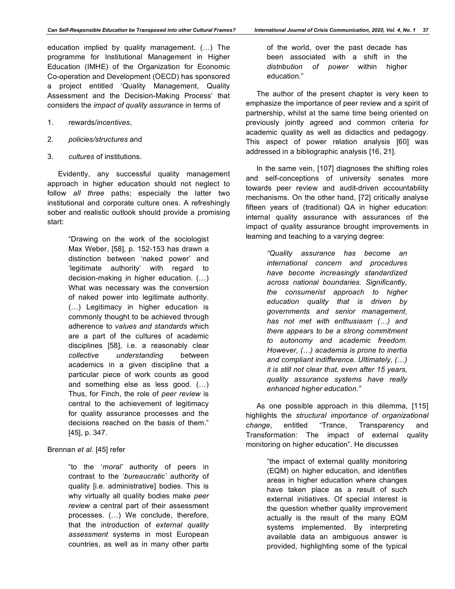education implied by quality management. (…) The programme for Institutional Management in Higher Education (IMHE) of the Organization for Economic Co-operation and Development (OECD) has sponsored a project entitled 'Quality Management, Quality Assessment and the Decision-Making Process' that considers the *impact of quality assurance* in terms of

- 1. rewards/*incentives*,
- 2. *policies/structures* and
- 3. *cultures* of institutions.

Evidently, any successful quality management approach in higher education should not neglect to follow *all three* paths; especially the latter two institutional and corporate culture ones. A refreshingly sober and realistic outlook should provide a promising start:

> "Drawing on the work of the sociologist Max Weber, [58], p. 152-153 has drawn a distinction between 'naked power' and 'legitimate authority' with regard to decision-making in higher education. (…) What was necessary was the conversion of naked power into legitimate authority. (…) Legitimacy in higher education is commonly thought to be achieved through adherence to *values and standards* which are a part of the cultures of academic disciplines [58], i.e. a reasonably clear *collective understanding* between academics in a given discipline that a particular piece of work counts as good and something else as less good. (…) Thus, for Finch, the role of *peer review* is central to the achievement of legitimacy for quality assurance processes and the decisions reached on the basis of them." [45], p. 347.

## Brennan *et al*. [45] refer

"to the '*moral'* authority of peers in contrast to the '*bureaucratic'* authority of quality [i.e. administrative] bodies. This is why virtually all quality bodies make *peer review* a central part of their assessment processes. (…) We conclude, therefore, that the introduction of *external quality assessment* systems in most European countries, as well as in many other parts

of the world, over the past decade has been associated with a shift in the *distribution of power* within higher education."

The author of the present chapter is very keen to emphasize the importance of peer review and a spirit of partnership, whilst at the same time being oriented on previously jointly agreed and common criteria for academic quality as well as didactics and pedagogy. This aspect of power relation analysis [60] was addressed in a bibliographic analysis [16, 21].

In the same vein, [107] diagnoses the shifting roles and self-conceptions of university senates more towards peer review and audit-driven accountability mechanisms. On the other hand, [72] critically analyse fifteen years of (traditional) QA in higher education: internal quality assurance with assurances of the impact of quality assurance brought improvements in learning and teaching to a varying degree:

> *"Quality assurance has become an international concern and procedures have become increasingly standardized across national boundaries. Significantly, the consumerist approach to higher education quality that is driven by governments and senior management, has not met with enthusiasm (…) and there appears to be a strong commitment to autonomy and academic freedom. However, (…) academia is prone to inertia and compliant indifference. Ultimately, (…) it is still not clear that, even after 15 years, quality assurance systems have really enhanced higher education."*

As one possible approach in this dilemma, [115] highlights the *structural importance of organizational change*, entitled "Trance, Transparency and Transformation: The impact of external quality monitoring on higher education". He discusses

> "the impact of external quality monitoring (EQM) on higher education, and identifies areas in higher education where changes have taken place as a result of such external initiatives. Of special interest is the question whether quality improvement actually is the result of the many EQM systems implemented. By interpreting available data an ambiguous answer is provided, highlighting some of the typical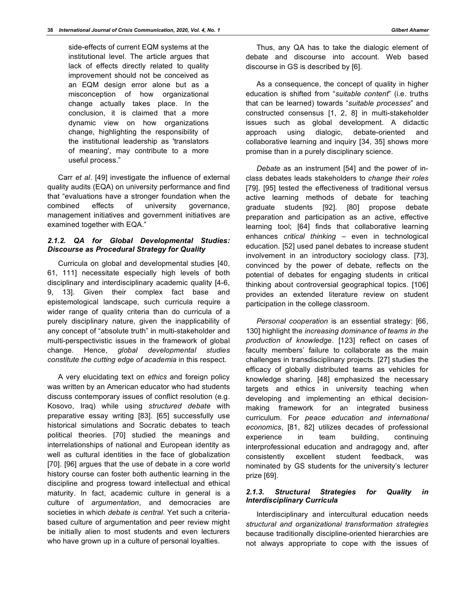side-effects of current EQM systems at the institutional level. The article argues that lack of effects directly related to quality improvement should not be conceived as an EQM design error alone but as a misconception of how organizational change actually takes place. In the conclusion, it is claimed that a more dynamic view on how organizations change, highlighting the responsibility of the institutional leadership as 'translators of meaning', may contribute to a more useful process."

Carr *et al*. [49] investigate the influence of external quality audits (EQA) on university performance and find that "evaluations have a stronger foundation when the combined effects of university governance, management initiatives and government initiatives are examined together with EQA."

# *2.1.2. QA for Global Developmental Studies: Discourse as Procedural Strategy for Quality*

Curricula on global and developmental studies [40, 61, 111] necessitate especially high levels of both disciplinary and interdisciplinary academic quality [4-6, 9, 13]. Given their complex fact base and epistemological landscape, such curricula require a wider range of quality criteria than do curricula of a purely disciplinary nature, given the inapplicability of any concept of "absolute truth" in multi-stakeholder and multi-perspectivistic issues in the framework of global change. Hence, *global developmental studies constitute the cutting edge of academia* in this respect.

A very elucidating text on *ethics* and foreign policy was written by an American educator who had students discuss contemporary issues of conflict resolution (e.g. Kosovo, Iraq) while using *structured debate* with preparative essay writing [83]. [65] successfully use historical simulations and Socratic debates to teach political theories. [70] studied the meanings and interrelationships of national and European identity as well as cultural identities in the face of globalization [70]. [96] argues that the use of debate in a core world history course can foster both authentic learning in the discipline and progress toward intellectual and ethical maturity. In fact, academic culture in general is a culture of *argumentation*, and democracies are societies in which *debate is central*. Yet such a criteriabased culture of argumentation and peer review might be initially alien to most students and even lecturers who have grown up in a culture of personal loyalties.

Thus, any QA has to take the dialogic element of debate and discourse into account. Web based discourse in GS is described by [6].

As a consequence, the concept of quality in higher education is shifted from "*suitable content*" (i.e. truths that can be learned) towards "*suitable processes*" and constructed consensus [1, 2, 8] in multi-stakeholder issues such as global development. A didactic approach using dialogic, debate-oriented and collaborative learning and inquiry [34, 35] shows more promise than in a purely disciplinary science.

*Debate* as an instrument [54] and the power of inclass debates leads stakeholders to *change their roles* [79]. [95] tested the effectiveness of traditional versus active learning methods of debate for teaching graduate students [92]. [80] propose debate preparation and participation as an active, effective learning tool; [64] finds that collaborative learning enhances *critical thinking* – even in technological education. [52] used panel debates to increase student involvement in an introductory sociology class. [73], convinced by the power of debate, reflects on the potential of debates for engaging students in critical thinking about controversial geographical topics. [106] provides an extended literature review on student participation in the college classroom.

*Personal cooperation* is an essential strategy: [66, 130] highlight the *increasing dominance of teams in the production of knowledge*. [123] reflect on cases of faculty members' failure to collaborate as the main challenges in transdisciplinary projects. [27] studies the efficacy of globally distributed teams as vehicles for knowledge sharing. [48] emphasized the necessary targets and ethics in university teaching when developing and implementing an ethical decisionmaking framework for an integrated business curriculum. For *peace education and international economics*, [81, 82] utilizes decades of professional experience in team building, continuing interprofessional education and andragogy and, after consistently excellent student feedback, was nominated by GS students for the university's lecturer prize [69].

## *2.1.3. Structural Strategies for Quality in Interdisciplinary Curricula*

Interdisciplinary and intercultural education needs *structural and organizational transformation strategies*  because traditionally discipline-oriented hierarchies are not always appropriate to cope with the issues of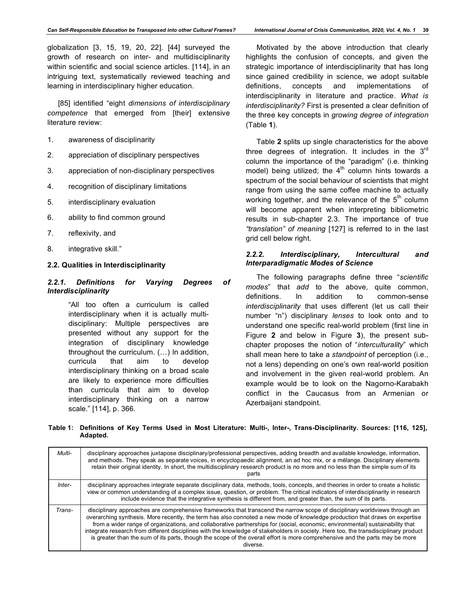globalization [3, 15, 19, 20, 22]. [44] surveyed the growth of research on inter- and multidisciplinarity within scientific and social science articles. [114], in an intriguing text, systematically reviewed teaching and learning in interdisciplinary higher education.

[85] identified "eight *dimensions of interdisciplinary competence* that emerged from [their] extensive literature review:

- 1. awareness of disciplinarity
- 2. appreciation of disciplinary perspectives
- 3. appreciation of non-disciplinary perspectives
- 4. recognition of disciplinary limitations
- 5. interdisciplinary evaluation
- 6. ability to find common ground
- 7. reflexivity, and
- 8. integrative skill."

# **2.2. Qualities in Interdisciplinarity**

## *2.2.1. Definitions for Varying Degrees of Interdisciplinarity*

"All too often a curriculum is called interdisciplinary when it is actually multidisciplinary: Multiple perspectives are presented without any support for the integration of disciplinary knowledge throughout the curriculum. (…) In addition, curricula that aim to develop interdisciplinary thinking on a broad scale are likely to experience more difficulties than curricula that aim to develop interdisciplinary thinking on a narrow scale." [114], p. 366.

Motivated by the above introduction that clearly highlights the confusion of concepts, and given the strategic importance of interdisciplinarity that has long since gained credibility in science, we adopt suitable definitions, concepts and implementations of interdisciplinarity in literature and practice. *What is interdisciplinarity?* First is presented a clear definition of the three key concepts in *growing degree of integration* (Table **1**).

Table **2** splits up single characteristics for the above three degrees of integration. It includes in the  $3<sup>rd</sup>$ column the importance of the "paradigm" (i.e. thinking model) being utilized; the  $4<sup>th</sup>$  column hints towards a spectrum of the social behaviour of scientists that might range from using the same coffee machine to actually working together, and the relevance of the  $5<sup>th</sup>$  column will become apparent when interpreting bibliometric results in sub-chapter 2.3. The importance of true *"translation" of meaning* [127] is referred to in the last grid cell below right.

## *2.2.2. Interdisciplinary, Intercultural and Interparadigmatic Modes of Science*

The following paragraphs define three "*scientific modes*" that *add* to the above, quite common, definitions. In addition to common-sense *interdisciplinarity* that uses different (let us call their number "n") disciplinary *lenses* to look onto and to understand one specific real-world problem (first line in Figure **2** and below in Figure **3**), the present subchapter proposes the notion of "*interculturality*" which shall mean here to take a *standpoint* of perception (i.e., not a lens) depending on one's own real-world position and involvement in the given real-world problem. An example would be to look on the Nagorno-Karabakh conflict in the Caucasus from an Armenian or Azerbaijani standpoint.

## **Table 1: Definitions of Key Terms Used in Most Literature: Multi-, Inter-, Trans-Disciplinarity. Sources: [116, 125], Adapted.**

| Multi- | disciplinary approaches juxtapose disciplinary/professional perspectives, adding breadth and available knowledge, information,<br>and methods. They speak as separate voices, in encyclopaedic alignment, an ad hoc mix, or a mélange. Disciplinary elements<br>retain their original identity. In short, the multidisciplinary research product is no more and no less than the simple sum of its<br>parts                                                                                                                                                                                                                                                                   |
|--------|-------------------------------------------------------------------------------------------------------------------------------------------------------------------------------------------------------------------------------------------------------------------------------------------------------------------------------------------------------------------------------------------------------------------------------------------------------------------------------------------------------------------------------------------------------------------------------------------------------------------------------------------------------------------------------|
| Inter- | disciplinary approaches integrate separate disciplinary data, methods, tools, concepts, and theories in order to create a holistic<br>view or common understanding of a complex issue, question, or problem. The critical indicators of interdisciplinarity in research<br>include evidence that the integrative synthesis is different from, and greater than, the sum of its parts.                                                                                                                                                                                                                                                                                         |
| Trans- | disciplinary approaches are comprehensive frameworks that transcend the narrow scope of disciplinary worldviews through an<br>overarching synthesis. More recently, the term has also connoted a new mode of knowledge production that draws on expertise<br>from a wider range of organizations, and collaborative partnerships for (social, economic, environmental) sustainability that<br>integrate research from different disciplines with the knowledge of stakeholders in society. Here too, the transdisciplinary product<br>is greater than the sum of its parts, though the scope of the overall effort is more comprehensive and the parts may be more<br>diverse |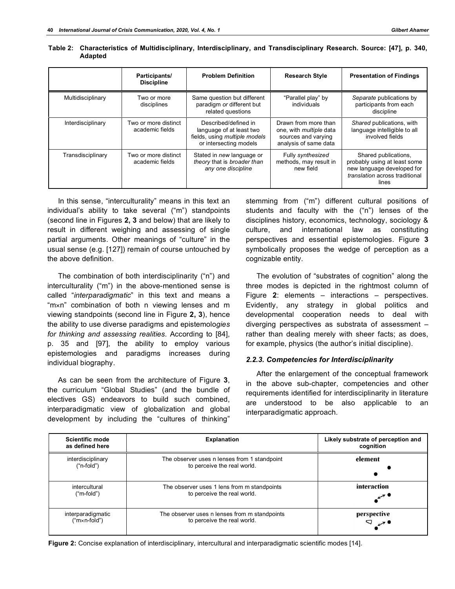|                   | Participants/<br><b>Discipline</b>      | <b>Problem Definition</b>                                                                                          | <b>Research Style</b>                                                                                  | <b>Presentation of Findings</b>                                                                                               |
|-------------------|-----------------------------------------|--------------------------------------------------------------------------------------------------------------------|--------------------------------------------------------------------------------------------------------|-------------------------------------------------------------------------------------------------------------------------------|
| Multidisciplinary | Two or more<br>disciplines              | Same question but different<br>paradigm or different but<br>related questions                                      | "Parallel play" by<br>individuals                                                                      | Separate publications by<br>participants from each<br>discipline                                                              |
| Interdisciplinary | Two or more distinct<br>academic fields | Described/defined in<br>language of at least two<br>fields, using <i>multiple</i> models<br>or intersecting models | Drawn from more than<br>one, with <i>multiple</i> data<br>sources and varying<br>analysis of same data | Shared publications, with<br>language intelligible to all<br>involved fields                                                  |
| Transdisciplinary | Two or more distinct<br>academic fields | Stated in new language or<br>theory that is broader than<br>any one discipline                                     | Fully synthesized<br>methods, may result in<br>new field                                               | Shared publications,<br>probably using at least some<br>new language developed for<br>translation across traditional<br>lines |

| Table 2: Characteristics of Multidisciplinary, Interdisciplinary, and Transdisciplinary Research. Source: [47], p. 340, |  |
|-------------------------------------------------------------------------------------------------------------------------|--|
| <b>Adapted</b>                                                                                                          |  |

In this sense, "interculturality" means in this text an individual's ability to take several ("m") standpoints (second line in Figures **2, 3** and below) that are likely to result in different weighing and assessing of single partial arguments. Other meanings of "culture" in the usual sense (e.g. [127]) remain of course untouched by the above definition.

The combination of both interdisciplinarity ("n") and interculturality ("m") in the above-mentioned sense is called "*interparadigmatic*" in this text and means a "m×n" combination of both n viewing lenses and m viewing standpoints (second line in Figure **2, 3**), hence the ability to use diverse paradigms and epistemolo*gies for thinking and assessing realities*. According to [84], p. 35 and [97], the ability to employ various epistemologies and paradigms increases during individual biography.

As can be seen from the architecture of Figure **3**, the curriculum "Global Studies" (and the bundle of electives GS) endeavors to build such combined, interparadigmatic view of globalization and global development by including the "cultures of thinking" stemming from ("m") different cultural positions of students and faculty with the ("n") lenses of the disciplines history, economics, technology, sociology & culture, and international law as constituting perspectives and essential epistemologies. Figure **3** symbolically proposes the wedge of perception as a cognizable entity.

The evolution of "substrates of cognition" along the three modes is depicted in the rightmost column of Figure **2**: elements – interactions – perspectives. Evidently, any strategy in global politics and developmental cooperation needs to deal with diverging perspectives as substrata of assessment – rather than dealing merely with sheer facts; as does, for example, physics (the author's initial discipline).

## *2.2.3. Competencies for Interdisciplinarity*

After the enlargement of the conceptual framework in the above sub-chapter, competencies and other requirements identified for interdisciplinarity in literature are understood to be also applicable to an interparadigmatic approach.

| <b>Scientific mode</b><br>as defined here | <b>Explanation</b>                                                           | Likely substrate of perception and<br>cognition |  |  |
|-------------------------------------------|------------------------------------------------------------------------------|-------------------------------------------------|--|--|
| interdisciplinary<br>$("n-fold")$         | The observer uses n lenses from 1 standpoint<br>to perceive the real world.  | element                                         |  |  |
| intercultural<br>$("m-fold")$             | The observer uses 1 lens from m standpoints<br>to perceive the real world.   | interaction                                     |  |  |
| interparadigmatic<br>$("m×n-fold")$       | The observer uses n lenses from m standpoints<br>to perceive the real world. | perspective                                     |  |  |

**Figure 2:** Concise explanation of interdisciplinary, intercultural and interparadigmatic scientific modes [14].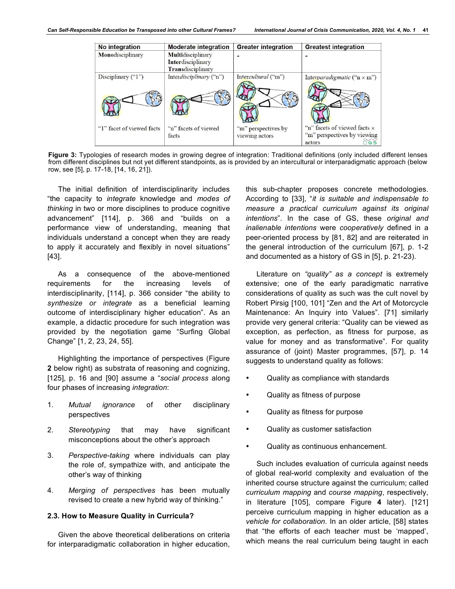

**Figure 3:** Typologies of research modes in growing degree of integration: Traditional definitions (only included different lenses from different disciplines but not yet different standpoints, as is provided by an intercultural or interparadigmatic approach (below row, see [5], p. 17-18, [14, 16, 21]).

The initial definition of interdisciplinarity includes "the capacity to *integrate* knowledge and *modes of thinking* in two or more disciplines to produce cognitive advancement" [114], p. 366 and "builds on a performance view of understanding, meaning that individuals understand a concept when they are ready to apply it accurately and flexibly in novel situations" [43].

As a consequence of the above-mentioned requirements for the increasing levels of interdisciplinarity, [114], p. 366 consider "the ability to *synthesize or integrate* as a beneficial learning outcome of interdisciplinary higher education". As an example, a didactic procedure for such integration was provided by the negotiation game "Surfing Global Change" [1, 2, 23, 24, 55].

Highlighting the importance of perspectives (Figure **2** below right) as substrata of reasoning and cognizing, [125], p. 16 and [90] assume a "*social process* along four phases of increasing *integration*:

- 1. *Mutual ignorance* of other disciplinary perspectives
- 2. *Stereotyping* that may have significant misconceptions about the other's approach
- 3. *Perspective-taking* where individuals can play the role of, sympathize with, and anticipate the other's way of thinking
- 4. *Merging of perspectives* has been mutually revised to create a new hybrid way of thinking."

#### **2.3. How to Measure Quality in Curricula?**

Given the above theoretical deliberations on criteria for interparadigmatic collaboration in higher education,

this sub-chapter proposes concrete methodologies. According to [33], "*it is suitable and indispensable to measure a practical curriculum against its original intentions*". In the case of GS, these *original and inalienable intentions* were *cooperatively* defined in a peer-oriented process by [81, 82] and are reiterated in the general introduction of the curriculum [67], p. 1-2 and documented as a history of GS in [5], p. 21-23).

Literature on *"quality" as a concept* is extremely extensive; one of the early paradigmatic narrative considerations of quality as such was the cult novel by Robert Pirsig [100, 101] "Zen and the Art of Motorcycle Maintenance: An Inquiry into Values". [71] similarly provide very general criteria: "Quality can be viewed as exception, as perfection, as fitness for purpose, as value for money and as transformative". For quality assurance of (joint) Master programmes, [57], p. 14 suggests to understand quality as follows:

- Quality as compliance with standards
- Quality as fitness of purpose
- Quality as fitness for purpose
- Quality as customer satisfaction
- Quality as continuous enhancement.

Such includes evaluation of curricula against needs of global real-world complexity and evaluation of the inherited course structure against the curriculum; called *curriculum mapping* and *course mapping*, respectively, in literature [105], compare Figure **4** later). [121] perceive curriculum mapping in higher education as a *vehicle for collaboration*. In an older article, [58] states that "the efforts of each teacher must be 'mapped', which means the real curriculum being taught in each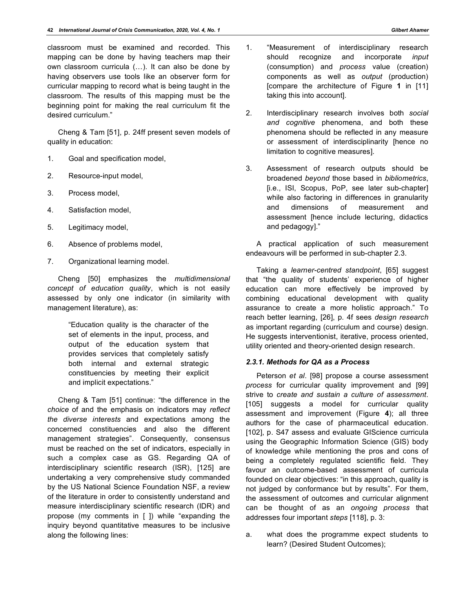classroom must be examined and recorded. This mapping can be done by having teachers map their own classroom curricula (…). It can also be done by having observers use tools like an observer form for curricular mapping to record what is being taught in the classroom. The results of this mapping must be the beginning point for making the real curriculum fit the desired curriculum."

Cheng & Tam [51], p. 24ff present seven models of quality in education:

- 1. Goal and specification model,
- 2. Resource-input model,
- 3. Process model,
- 4. Satisfaction model,
- 5. Legitimacy model,
- 6. Absence of problems model,
- 7. Organizational learning model.

Cheng [50] emphasizes the *multidimensional concept of education quality*, which is not easily assessed by only one indicator (in similarity with management literature), as:

> "Education quality is the character of the set of elements in the input, process, and output of the education system that provides services that completely satisfy both internal and external strategic constituencies by meeting their explicit and implicit expectations."

Cheng & Tam [51] continue: "the difference in the *choice* of and the emphasis on indicators may *reflect the diverse interests* and expectations among the concerned constituencies and also the different management strategies". Consequently, consensus must be reached on the set of indicators, especially in such a complex case as GS. Regarding QA of interdisciplinary scientific research (ISR), [125] are undertaking a very comprehensive study commanded by the US National Science Foundation NSF, a review of the literature in order to consistently understand and measure interdisciplinary scientific research (IDR) and propose (my comments in [ ]) while "expanding the inquiry beyond quantitative measures to be inclusive along the following lines:

- 1. "Measurement of interdisciplinary research should recognize and incorporate *input*  (consumption) and *process* value (creation) components as well as *output* (production) [compare the architecture of Figure **1** in [11] taking this into account].
- 2. Interdisciplinary research involves both *social and cognitive* phenomena, and both these phenomena should be reflected in any measure or assessment of interdisciplinarity [hence no limitation to cognitive measures].
- 3. Assessment of research outputs should be broadened *beyond* those based in *bibliometrics*, [i.e., ISI, Scopus, PoP, see later sub-chapter] while also factoring in differences in granularity and dimensions of measurement and assessment [hence include lecturing, didactics and pedagogy]."

A practical application of such measurement endeavours will be performed in sub-chapter 2.3.

Taking a *learner-centred standpoint*, [65] suggest that "the quality of students' experience of higher education can more effectively be improved by combining educational development with quality assurance to create a more holistic approach." To reach better learning, [26], p. 4f sees *design research* as important regarding (curriculum and course) design. He suggests interventionist, iterative, process oriented, utility oriented and theory-oriented design research.

## *2.3.1. Methods for QA as a Process*

Peterson *et al*. [98] propose a course assessment *process* for curricular quality improvement and [99] strive to *create and sustain a culture of assessment*. [105] suggests a model for curricular quality assessment and improvement (Figure **4**); all three authors for the case of pharmaceutical education. [102], p. S47 assess and evaluate GIScience curricula using the Geographic Information Science (GIS) body of knowledge while mentioning the pros and cons of being a completely regulated scientific field. They favour an outcome-based assessment of curricula founded on clear objectives: "in this approach, quality is not judged by conformance but by results". For them, the assessment of outcomes and curricular alignment can be thought of as an *ongoing process* that addresses four important *steps* [118], p. 3:

a. what does the programme expect students to learn? (Desired Student Outcomes);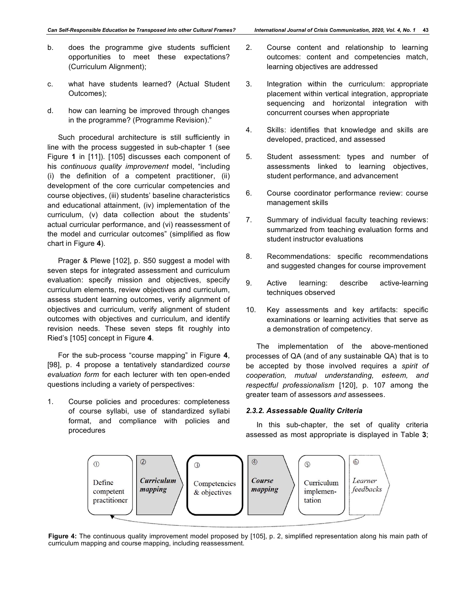- b. does the programme give students sufficient opportunities to meet these expectations? (Curriculum Alignment);
- c. what have students learned? (Actual Student Outcomes);
- d. how can learning be improved through changes in the programme? (Programme Revision)."

Such procedural architecture is still sufficiently in line with the process suggested in sub-chapter 1 (see Figure **1** in [11]). [105] discusses each component of his *continuous quality improvement* model, "including (i) the definition of a competent practitioner, (ii) development of the core curricular competencies and course objectives, (iii) students' baseline characteristics and educational attainment, (iv) implementation of the curriculum, (v) data collection about the students' actual curricular performance, and (vi) reassessment of the model and curricular outcomes" (simplified as flow chart in Figure **4**).

Prager & Plewe [102], p. S50 suggest a model with seven steps for integrated assessment and curriculum evaluation: specify mission and objectives, specify curriculum elements, review objectives and curriculum, assess student learning outcomes, verify alignment of objectives and curriculum, verify alignment of student outcomes with objectives and curriculum, and identify revision needs. These seven steps fit roughly into Ried's [105] concept in Figure **4**.

For the sub-process "course mapping" in Figure **4**, [98], p. 4 propose a tentatively standardized *course evaluation form* for each lecturer with ten open-ended questions including a variety of perspectives:

1. Course policies and procedures: completeness of course syllabi, use of standardized syllabi format, and compliance with policies and procedures

- 2. Course content and relationship to learning outcomes: content and competencies match, learning objectives are addressed
- 3. Integration within the curriculum: appropriate placement within vertical integration, appropriate sequencing and horizontal integration with concurrent courses when appropriate
- 4. Skills: identifies that knowledge and skills are developed, practiced, and assessed
- 5. Student assessment: types and number of assessments linked to learning objectives, student performance, and advancement
- 6. Course coordinator performance review: course management skills
- 7. Summary of individual faculty teaching reviews: summarized from teaching evaluation forms and student instructor evaluations
- 8. Recommendations: specific recommendations and suggested changes for course improvement
- 9. Active learning: describe active-learning techniques observed
- 10. Key assessments and key artifacts: specific examinations or learning activities that serve as a demonstration of competency.

The implementation of the above-mentioned processes of QA (and of any sustainable QA) that is to be accepted by those involved requires a *spirit of cooperation, mutual understanding, esteem, and respectful professionalism* [120], p. 107 among the greater team of assessors *and* assessees.

## *2.3.2. Assessable Quality Criteria*

In this sub-chapter, the set of quality criteria assessed as most appropriate is displayed in Table **3**;



**Figure 4:** The continuous quality improvement model proposed by [105], p. 2, simplified representation along his main path of curriculum mapping and course mapping, including reassessment.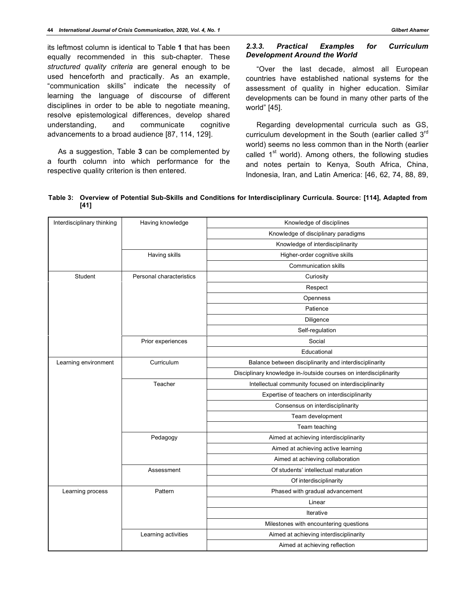its leftmost column is identical to Table **1** that has been equally recommended in this sub-chapter. These *structured quality criteria* are general enough to be used henceforth and practically. As an example, "communication skills" indicate the necessity of learning the language of discourse of different disciplines in order to be able to negotiate meaning, resolve epistemological differences, develop shared understanding, and communicate cognitive advancements to a broad audience [87, 114, 129].

As a suggestion, Table **3** can be complemented by a fourth column into which performance for the respective quality criterion is then entered.

# *2.3.3. Practical Examples for Curriculum Development Around the World*

"Over the last decade, almost all European countries have established national systems for the assessment of quality in higher education. Similar developments can be found in many other parts of the world" [45].

Regarding developmental curricula such as GS, curriculum development in the South (earlier called 3<sup>rd</sup> world) seems no less common than in the North (earlier called  $1<sup>st</sup>$  world). Among others, the following studies and notes pertain to Kenya, South Africa, China, Indonesia, Iran, and Latin America: [46, 62, 74, 88, 89,

| Table 3: Overview of Potential Sub-Skills and Conditions for Interdisciplinary Curricula. Source: [114], Adapted from |  |  |  |
|-----------------------------------------------------------------------------------------------------------------------|--|--|--|
| [41]                                                                                                                  |  |  |  |

| Interdisciplinary thinking | Having knowledge         | Knowledge of disciplines                                          |  |  |
|----------------------------|--------------------------|-------------------------------------------------------------------|--|--|
|                            |                          | Knowledge of disciplinary paradigms                               |  |  |
|                            |                          | Knowledge of interdisciplinarity                                  |  |  |
|                            | Having skills            | Higher-order cognitive skills                                     |  |  |
|                            |                          | <b>Communication skills</b>                                       |  |  |
| Student                    | Personal characteristics | Curiosity                                                         |  |  |
|                            |                          | Respect                                                           |  |  |
|                            |                          | Openness                                                          |  |  |
|                            |                          | Patience                                                          |  |  |
|                            |                          | Diligence                                                         |  |  |
|                            |                          | Self-regulation                                                   |  |  |
|                            | Prior experiences        | Social                                                            |  |  |
|                            |                          | Educational                                                       |  |  |
| Learning environment       | Curriculum               | Balance between disciplinarity and interdisciplinarity            |  |  |
|                            |                          | Disciplinary knowledge in-/outside courses on interdisciplinarity |  |  |
|                            | Teacher                  | Intellectual community focused on interdisciplinarity             |  |  |
|                            |                          | Expertise of teachers on interdisciplinarity                      |  |  |
|                            |                          | Consensus on interdisciplinarity                                  |  |  |
|                            |                          | Team development                                                  |  |  |
|                            |                          | Team teaching                                                     |  |  |
|                            | Pedagogy                 | Aimed at achieving interdisciplinarity                            |  |  |
|                            |                          | Aimed at achieving active learning                                |  |  |
|                            |                          | Aimed at achieving collaboration                                  |  |  |
|                            | Assessment               | Of students' intellectual maturation                              |  |  |
|                            |                          | Of interdisciplinarity                                            |  |  |
| Learning process           | Pattern                  | Phased with gradual advancement                                   |  |  |
|                            |                          | Linear                                                            |  |  |
|                            |                          | Iterative                                                         |  |  |
|                            |                          | Milestones with encountering questions                            |  |  |
|                            | Learning activities      | Aimed at achieving interdisciplinarity                            |  |  |
|                            |                          | Aimed at achieving reflection                                     |  |  |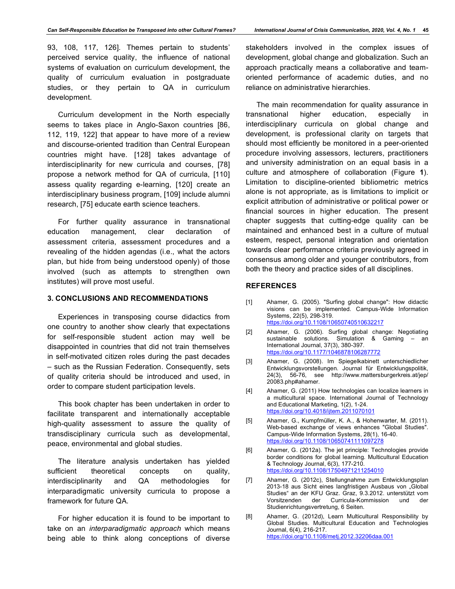93, 108, 117, 126]. Themes pertain to students' perceived service quality, the influence of national systems of evaluation on curriculum development, the quality of curriculum evaluation in postgraduate studies, or they pertain to QA in curriculum development.

Curriculum development in the North especially seems to takes place in Anglo-Saxon countries [86, 112, 119, 122] that appear to have more of a review and discourse-oriented tradition than Central European countries might have. [128] takes advantage of interdisciplinarity for new curricula and courses, [78] propose a network method for QA of curricula, [110] assess quality regarding e-learning, [120] create an interdisciplinary business program, [109] include alumni research, [75] educate earth science teachers.

For further quality assurance in transnational education management, clear declaration of assessment criteria, assessment procedures and a revealing of the hidden agendas (i.e., what the actors plan, but hide from being understood openly) of those involved (such as attempts to strengthen own institutes) will prove most useful.

## **3. CONCLUSIONS AND RECOMMENDATIONS**

Experiences in transposing course didactics from one country to another show clearly that expectations for self-responsible student action may well be disappointed in countries that did not train themselves in self-motivated citizen roles during the past decades – such as the Russian Federation. Consequently, sets of quality criteria should be introduced and used, in order to compare student participation levels.

This book chapter has been undertaken in order to facilitate transparent and internationally acceptable high-quality assessment to assure the quality of transdisciplinary curricula such as developmental, peace, environmental and global studies.

The literature analysis undertaken has yielded sufficient theoretical concepts on quality, interdisciplinarity and QA methodologies for interparadigmatic university curricula to propose a framework for future QA.

For higher education it is found to be important to take on an *interparadigmatic approach* which means being able to think along conceptions of diverse

stakeholders involved in the complex issues of development, global change and globalization. Such an approach practically means a collaborative and teamoriented performance of academic duties, and no reliance on administrative hierarchies.

The main recommendation for quality assurance in transnational higher education, especially in interdisciplinary curricula on global change and development, is professional clarity on targets that should most efficiently be monitored in a peer-oriented procedure involving assessors, lecturers, practitioners and university administration on an equal basis in a culture and atmosphere of collaboration (Figure **1**). Limitation to discipline-oriented bibliometric metrics alone is not appropriate, as is limitations to implicit or explicit attribution of administrative or political power or financial sources in higher education. The present chapter suggests that cutting-edge quality can be maintained and enhanced best in a culture of mutual esteem, respect, personal integration and orientation towards clear performance criteria previously agreed in consensus among older and younger contributors, from both the theory and practice sides of all disciplines.

## **REFERENCES**

- [1] Ahamer, G. (2005). "Surfing global change": How didactic visions can be implemented. Campus-Wide Information Systems, 22(5), 298-319. https://doi.org/10.1108/10650740510632217
- [2] Ahamer, G. (2006). Surfing global change: Negotiating sustainable solutions. Simulation & Gaming – an International Journal, 37(3), 380-397. https://doi.org/10.1177/1046878106287772
- [3] Ahamer, G. (2008). Im Spiegelkabinett unterschiedlicher Entwicklungsvorstellungen. Journal für Entwicklungspolitik, 24(3), 56-76, see http://www.mattersburgerkreis.at/jep/ 20083.php#ahamer.
- [4] Ahamer, G. (2011) How technologies can localize learners in a multicultural space. International Journal of Technology and Educational Marketing, 1(2), 1-24. https://doi.org/10.4018/ijtem.2011070101
- [5] Ahamer, G., Kumpfmüller, K. A., & Hohenwarter, M. (2011). Web-based exchange of views enhances "Global Studies". Campus-Wide Information Systems, 28(1), 16-40. https://doi.org/10.1108/10650741111097278
- [6] Ahamer, G. (2012a). The jet principle: Technologies provide border conditions for global learning. Multicultural Education & Technology Journal, 6(3), 177-210.<br>https://doi.org/10.1108/17504971211254010 https://doi.org/10.1108/
- [7] Ahamer, G. (2012c), Stellungnahme zum Entwicklungsplan 2013-18 aus Sicht eines langfristigen Ausbaus von "Global Studies" an der KFU Graz. Graz, 9.3.2012. unterstützt vom Vorsitzenden der Curricula-Kommission und der Studienrichtungsvertretung, 6 Seiten.
- [8] Ahamer, G. (2012d), Learn Multicultural Responsibility by Global Studies. Multicultural Education and Technologies Journal, 6(4), 216-217. https://doi.org/10.1108/metj.2012.32206daa.001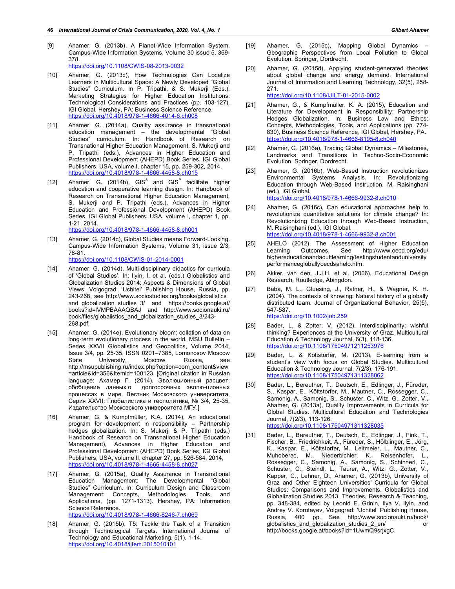- [9] Ahamer, G. (2013b), A Planet-Wide Information System. Campus-Wide Information Systems, Volume 30 issue 5, 369- 378. https://doi.org/10.1108/CWIS-08-2013-0032
- [10] Ahamer, G. (2013c), How Technologies Can Localize Learners in Multicultural Space: A Newly Developed "Global Studies" Curriculum. In P. Tripathi, & S. Mukerji (Eds.), Marketing Strategies for Higher Education Institutions: Technological Considerations and Practices (pp. 103-127). IGI Global, Hershey, PA: Business Science Reference. https://doi.org/10.4018/978-1-4666-4014-6.ch008
- [11] Ahamer, G. (2014a), Quality assurance in transnational education management – the developmental "Global Studies" curriculum. In: Handbook of Research on Transnational Higher Education Management, S. Mukerji and P. Tripathi (eds.), Advances in Higher Education and Professional Development (AHEPD) Book Series, IGI Global Publishers, USA, volume I, chapter 15, pp. 259-302, 2014. https://doi.org/10.4018/978-1-4666-4458-8.ch015
- [12] Ahamer, G. (2014b), GIS<sup>S</sup> and GIS<sup>P</sup> facilitate higher education and cooperative learning design. In: Handbook of Research on Transnational Higher Education Management, S. Mukerji and P. Tripathi (eds.), Advances in Higher Education and Professional Development (AHEPD) Book Series, IGI Global Publishers, USA, volume I, chapter 1, pp. 1-21, 2014. https://doi.org/10.4018/978-1-4666-4458-8.ch001
- [13] Ahamer, G. (2014c), Global Studies means Forward-Looking. Campus-Wide Information Systems, Volume 31, issue 2/3, 78-81. https://doi.org/10.1108/CWIS-01-2014-0001
- [14] Ahamer, G. (2014d), Multi-disciplinary didactics for curricula of 'Global Studies'. In: Ilyin, I. et al. (eds.) Globalistics and Globalization Studies 2014: Aspects & Dimensions of Global Views, Volgograd: 'Uchitel' Publishing House, Russia, pp. 243-268, see http://www.sociostudies.org/books/globalistics\_ and\_globalization\_studies\_3/ and https://books.google.at/ books?id=lVMPBAAAQBAJ and http://www.socionauki.ru/ book/files/globalistics\_and\_globalization\_studies\_3/243- 268.pdf.
- [15] Ahamer, G. (2014e), Evolutionary bloom: collation of data on long-term evolutionary process in the world. MSU Bulletin – Series XXVII Globalistics and Geopolitics, Volume 2014, Issue 3/4, pp. 25-35, ISSN 0201–7385, Lomonosov Moscow State University, Moscow, Russia, see http://msupublishing.ru/index.php?option=com\_content&view =article&id=356&Itemid=100123. [Original citation in Russian language: Ахамер Г. (2014), Эволюционный расцвет:<br>обобщение данныхо долгосрочных эволю-ционных обобщение данных о долгосрочных эволю-ционных процессах в мире. Вестник Московского университета, Серия XXVII: Глобалистика и геополитика, № 3/4, 25-35, Издательство Московского университета МГУ.]
- [16] Ahamer, G. & Kumpfmüller, K.A. (2014), An educational program for development in responsibility – Partnership hedges globalization. In: S. Mukerji & P. Tripathi (eds.) Handbook of Research on Transnational Higher Education Management), Advances in Higher Education and Professional Development (AHEPD) Book Series, IGI Global Publishers, USA, volume II, chapter 27, pp. 526-584, 2014, https://doi.org/10.4018/978-1-4666-4458-8.ch027
- [17] Ahamer, G. (2015a), Quality Assurance in Transnational Education Management: The Developmental "Global Studies" Curriculum. In: Curriculum Design and Classroom Management: Concepts, Methodologies, Tools, and Applications, (pp. 1271-1313). Hershey, PA: Information Science Reference. https://doi.org/10.4018/978-1-4666-8246-7.ch069
- [18] Ahamer, G. (2015b), T5: Tackle the Task of a Transition through Technological Targets. International Journal of Technology and Educational Marketing, 5(1), 1-14. https://doi.org/10.4018/ijtem.2015010101
- [19] Ahamer, G. (2015c), Mapping Global Dynamics Geographic Perspectives from Local Pollution to Global Evolution. Springer, Dordrecht.
- [20] Ahamer, G. (2015d), Applying student-generated theories about global change and energy demand. International Journal of Information and Learning Technology, 32(5), 258- 271. https://doi.org/10.1108/IJILT-01-2015-0002
- [21] Ahamer, G., & Kumpfmüller, K. A. (2015), Education and Literature for Development in Responsibility: Partnership Hedges Globalization. In: Business Law and Ethics: Concepts, Methodologies, Tools, and Applications (pp. 774- 830), Business Science Reference, IGI Global, Hershey, PA. https://doi.org/10.4018/978-1-4666-8195-8.ch040
- [22] Ahamer, G. (2016a), Tracing Global Dynamics Milestones, Landmarks and Transitions in Techno-Socio-Economic Evolution. Springer, Dordrecht.
- [23] Ahamer, G. (2016b), Web-Based Instruction revolutionizes Environmental Systems Analysis. In: Revolutionizing Education through Web-Based Instruction, M. Raisinghani (ed.), IGI Global. https://doi.org/10.4018/978-1-4666-9932-8.ch010
- [24] Ahamer, G. (2016c), Can educational approaches help to revolutionize quantitative solutions for climate change? In: Revolutionizing Education through Web-Based Instruction, M. Raisinghani (ed.), IGI Global. https://doi.org/10.4018/978-1-4666-9932-8.ch001
- [25] AHELO (2012), The Assessment of Higher Education Learning Outcomes. See http://www.oecd.org/edu/ highereducationandadultlearning/testingstudentanduniversity performancegloballyoecdsahelo.htm.
- [26] Akker, van den, J.J.H. et al. (2006), Educational Design Research. Routledge, Abingdon.
- [27] Baba, M. L., Gluesing, J., Ratner, H., & Wagner, K. H. (2004). The contexts of knowing: Natural history of a globally distributed team. Journal of Organizational Behavior, 25(5), 547-587. https://doi.org/10.1002/job.259
- [28] Bader, L. & Zotter, V. (2012), Interdisciplinarity: wishful thinking? Experiences at the University of Graz. Multicultural Education & Technology Journal, 6(3), 118-136. https://doi.org/10.1108/17504971211253976
- [29] Bader, L. & Köttstorfer, M. (2013), E-learning from a student's view with focus on Global Studies. Multicultural Education & Technology Journal, 7(2/3), 176-191. https://doi.org/10.1108/17504971311328062
- [30] Bader, L., Bereuther, T., Deutsch, E., Edlinger, J., Füreder, S., Kaspar, E., Köttstorfer, M., Mautner, C., Rossegger, C., Samonig, A., Samonig, S., Schuster, C., Witz, G., Zotter, V., Ahamer, G. (2013a), Quality Improvements in Curricula for Global Studies. Multicultural Education and Technologies Journal, 7(2/3), 113-126. https://doi.org/10.1108/17504971311328035
- [31] Bader, L., Bereuther, T., Deutsch, E., Edlinger, J., Fink, T., Fischer, B., Friedrichkeit, A., Füreder, S., Hölblinger, E., Jörg, K., Kaspar, E., Köttstorfer, M., Leitmeier, L., Mautner, C., Muhoberac, M., Niederbichler, K., Reisenhofer, L., Rossegger, C., Samonig, A., Samonig, S., Schinnerl, C., Schuster, C., Steindl, L., Taurer, A., Witz, G., Zotter, V., Kapper, C., Lehner, D., Ahamer, G. (2013b), University of Graz and Other Eighteen Universities' Curricula for Global Studies: Comparisons and Improvements. Globalistics and Globalization Studies 2013, Theories, Research & Teaching, pp. 348-384, edited by Leonid E. Grinin, Ilya V. Ilyin, and Andrey V. Korotayev, Volgograd: 'Uchitel' Publishing House, Russia, 400 pp. See http://www.socionauki.ru/book/ globalistics\_and\_globalization\_studies\_2\_en/ http://books.google.at/books?id=1UwmQ9srjxgC.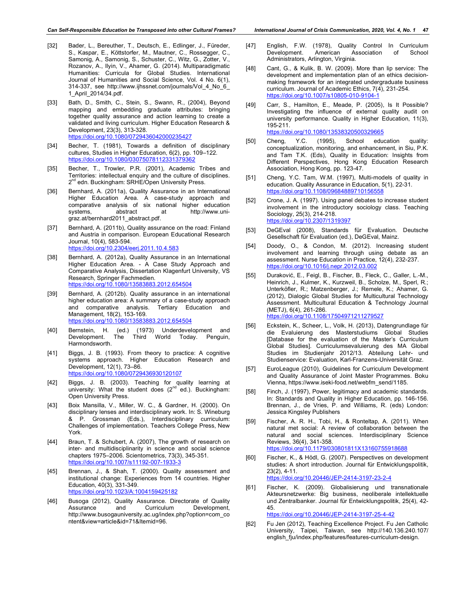- [32] Bader, L., Bereuther, T., Deutsch, E., Edlinger, J., Füreder, S., Kaspar, E., Köttstorfer, M., Mautner, C., Rossegger, C., Samonig, A., Samonig, S., Schuster, C., Witz, G., Zotter, V., Rozanov, A., Ilyin, V., Ahamer, G. (2014). Multiparadigmatic Humanities: Curricula for Global Studies. International Journal of Humanities and Social Science, Vol. 4 No. 6(1), 314-337, see http://www.ijhssnet.com/journals/Vol\_4\_No\_6\_ 1\_April\_2014/34.pdf.
- [33] Bath, D., Smith, C., Stein, S., Swann, R., (2004), Beyond mapping and embedding graduate attributes: bringing together quality assurance and action learning to create a validated and living curriculum. Higher Education Research & Development, 23(3), 313-328. https://doi.org/10.1080/0729436042000235427
- [34] Becher, T. (1981), Towards a definition of disciplinary cultures, Studies in Higher Education, 6(2), pp. 109–122. https://doi.org/10.1080/03075078112331379362
- [35] Becher, T., Trowler, P.R. (2001), Academic Tribes and Territories: intellectual enquiry and the culture of disciplines. 2<sup>nd</sup> edn. Buckingham: SRHE/Open University Press.
- [36] Bernhard, A. (2011a), Quality Assurance in an International Higher Education Area. A case-study approach and comparative analysis of six national higher education<br>systems, abstract at http://www.unisystems, abstract at http://www.unigraz.at/bernhard2011\_abstract.pdf.
- [37] Bernhard, A. (2011b), Quality assurance on the road: Finland and Austria in comparison. European Educational Research Journal, 10(4), 583-594. https://doi.org/10.2304/eerj.2011.10.4.583
- [38] Bernhard, A. (2012a), Quality Assurance in an International Higher Education Area. - A Case Study Approach and Comparative Analysis, Dissertation Klagenfurt University, VS Research, Springer Fachmedien. https://doi.org/10.1080/13583883.2012.654504
- [39] Bernhard, A. (2012b). Quality assurance in an international higher education area: A summary of a case-study approach and comparative analysis. Tertiary Education and Management, 18(2), 153-169. https://doi.org/10.1080/13583883.2012.654504
- [40] Bernstein, H. (ed.) (1973) Underdevelopment and Development. The Third World Today. Penguin, Harmondsworth.
- [41] Biggs, J. B. (1993). From theory to practice: A cognitive systems approach. Higher Education Research and Development, 12(1), 73–86. https://doi.org/10.1080/0729436930120107
- [42] Biggs, J. B. (2003). Teaching for quality learning at university: What the student does  $(2^{nd}$  ed.). Buckingham: Open University Press.
- [43] Boix Mansilla, V., Miller, W. C., & Gardner, H. (2000). On disciplinary lenses and interdisciplinary work. In: S. Wineburg & P. Grossman (Eds.), Interdisciplinary curriculum: Challenges of implementation. Teachers College Press, New York.
- [44] Braun, T. & Schubert, A. (2007), The growth of research on inter- and multidisciplinarity in science and social science chapters 1975–2006. Scientometrics, 73(3), 345-351. https://doi.org/10.1007/s11192-007-1933-3
- [45] Brennan, J., & Shah, T. (2000). Quality assessment and institutional change: Experiences from 14 countries. Higher Education, 40(3), 331-349. https://doi.org/10.1023/A:1004159425182
- [46] Busoga (2012), Quality Assurance. Directorate of Quality Assurance and Curriculum Development, http://www.busogauniversity.ac.ug/index.php?option=com\_co ntent&view=article&id=71&Itemid=96.
- [47] English, F.W. (1978), Quality Control In Curriculum Development. American Association of School Administrators, Arlington, Virginia.
- [48] Cant, G., & Kulik, B. W. (2009). More than lip service: The development and implementation plan of an ethics decisionmaking framework for an integrated undergraduate business curriculum. Journal of Academic Ethics, 7(4), 231-254. https://doi.org/10.1007/s10805-010-9104-1
- [49] Carr, S., Hamilton, E., Meade, P. (2005), Is It Possible? Investigating the influence of external quality audit on university performance. Quality in Higher Education, 11(3), 195-211. https://doi.org/10.1080/13538320500329665
- [50] Cheng, Y.C. (1995), School education quality: conceptualization, monitoring, and enhancement, in Siu, P.K. and Tam T.K. (Eds), Quality in Education: Insights from Different Perspectives, Hong Kong Education Research Association, Hong Kong, pp. 123-47.
- [51] Cheng, Y.C. Tam, W.M. (1997), Multi-models of quality in education. Quality Assurance in Education, 5(1), 22-31. https://doi.org/10.1108/09684889710156558
- [52] Crone, J. A. (1997). Using panel debates to increase student involvement in the introductory sociology class. Teaching Sociology, 25(3), 214-218. https://doi.org/10.2307/1319397
- [53] DeGEval (2008), Standards für Evaluation. Deutsche Gesellschaft für Evaluation (ed.), DeGEval, Mainz.
- [54] Doody, O., & Condon, M. (2012). Increasing student involvement and learning through using debate as an assessment. Nurse Education in Practice, 12(4), 232-237. https://doi.org/10.1016/j.nepr.2012.03.002
- [55] Duraković, E., Feigl, B., Fischer, B., Fleck, C., Galler, L.-M., Heinrich, J., Kulmer, K., Kurzweil, B., Scholze, M., Sperl, R.; Unterköfler, R.; Matzenberger, J.; Remele, K.; Ahamer, G. (2012), Dialogic Global Studies for Multicultural Technology Assessment. Multicultural Education & Technology Journal (METJ), 6(4), 261-286. https://doi.org/10.1108/17504971211279527
- [56] Eckstein, K., Scheer, L., Volk, H. (2013), Datengrundlage für die Evaluierung des Masterstudiums Global Studies [Database for the evaluation of the Master's Curriculum Global Studies]. Curriculumsevaluierung des MA Global Studies im Studienjahr 2012/13. Abteilung Lehr- und Studienservice: Evaluation, Karl-Franzens-Universität Graz.
- [57] EuroLeague (2010), Guidelines for Curriculum Development and Quality Assurance of Joint Master Programmes. Boku Vienna, https://www.iseki-food.net/webfm\_send/1185.
- [58] Finch, J. (1997), Power, legitimacy and academic standards. In: Standards and Quality in Higher Education, pp. 146-156. Brennan, J., de Vries, P. and Williams, R. (eds) London: Jessica Kingsley Publishers
- [59] Fischer, A. R. H., Tobi, H., & Ronteltap, A. (2011). When natural met social: A review of collaboration between the natural and social sciences. Interdisciplinary Science Reviews, 36(4), 341-358. https://doi.org/10.1179/030801811X13160755918688
- [60] Fischer, K., & Hödl, G. (2007). Perspectives on development studies: A short introduction. Journal für Entwicklungspolitik, 23(2), 4-11. https://doi.org/10.20446/JEP-2414-3197-23-2-4
- [61] Fischer, K. (2009). Globalisierung und transnationale Akteursnetzwerke: Big business, neoliberale intellektuelle und Zentralbanker. Journal für Entwicklungspolitik, 25(4), 42- 45. https://doi.org/10.20446/JEP-2414-3197-25-4-42
- [62] Fu Jen (2012), Teaching Excellence Project. Fu Jen Catholic University, Taipei, Taiwan, see http://140.136.240.107/ english\_fju/index.php/features/features-curriculum-design.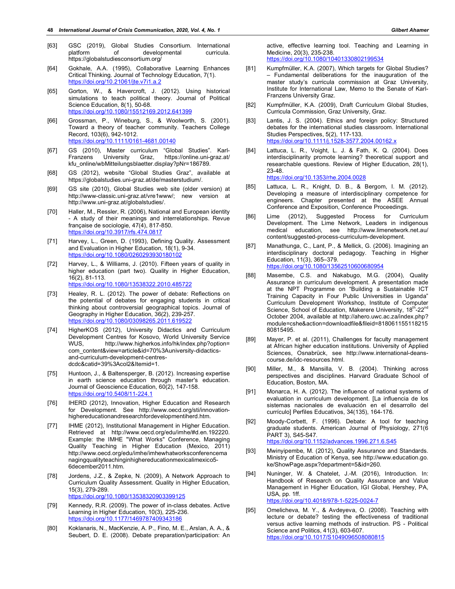- [63] GSC (2019), Global Studies Consortium. International platform of developmental curricula. https://globalstudiesconsortium.org/
- [64] Gokhale, A.A. (1995), Collaborative Learning Enhances Critical Thinking. Journal of Technology Education, 7(1). https://doi.org/10.21061/jte.v7i1.a.2
- [65] Gorton, W., & Havercroft, J. (2012). Using historical simulations to teach political theory. Journal of Political Science Education, 8(1), 50-68. https://doi.org/10.1080/15512169.2012.641399
- [66] Grossman, P., Wineburg, S., & Woolworth, S. (2001). Toward a theory of teacher community. Teachers College Record, 103(6), 942-1012. https://doi.org/10.1111/0161-4681.00140
- [67] GS (2010), Master curriculum "Global Studies". Karl-Franzens University Graz, https://online.uni-graz.at/ kfu\_online/wbMitteilungsblaetter.display?pNr=186789.
- [68] GS (2012), website "Global Studies Graz", available at https://globalstudies.uni-graz.at/de/masterstudium/.
- [69] GS site (2010), Global Studies web site (older version) at http://www-classic.uni-graz.at/vre1www/; new version at http://www.uni-graz.at/globalstudies/.
- [70] Haller, M., Ressler, R. (2006), National and European identity - A study of their meanings and interrelationships. Revue française de sociologie, 47(4), 817-850. https://doi.org/10.3917/rfs.474.0817
- [71] Harvey, L., Green, D. (1993), Defining Quality. Assessment and Evaluation in Higher Education, 18(1), 9-34. https://doi.org/10.1080/0260293930180102
- [72] Harvey, L., & Williams, J. (2010). Fifteen years of quality in higher education (part two). Quality in Higher Education, 16(2), 81-113. https://doi.org/10.1080/13538322.2010.485722
- [73] Healey, R. L. (2012). The power of debate: Reflections on the potential of debates for engaging students in critical thinking about controversial geographical topics. Journal of Geography in Higher Education, 36(2), 239-257. https://doi.org/10.1080/03098265.2011.619522
- [74] HigherKOS (2012), University Didactics and Curriculum Development Centres for Kosovo, World University Service<br>WUS. http://www.higherkos.info/hk/index.php?option= http://www.higherkos.info/hk/index.php?option= com\_content&view=article&id=70%3Auniversity-didacticsand-curriculum-development-centresdcdc&catid=39%3Acol2&Itemid=1.
- [75] Huntoon, J., & Baltensperger, B. (2012). Increasing expertise in earth science education through master's education. Journal of Geoscience Education, 60(2), 147-158. https://doi.org/10.5408/11-224.1
- [76] IHERD (2012), Innovation, Higher Education and Research for Development. See http://www.oecd.org/sti/innovationhighereducationandresearchfordevelopmentiherd.htm.
- [77] IHME (2012), Institutional Management in Higher Education. Retrieved at http://www.oecd.org/edu/imhe/#d.en.192220. Example: the IMHE "What Works" Conference, Managing Quality Teaching in Higher Education (Mexico, 2011) http://www.oecd.org/edu/imhe/imhewhatworksconferencema nagingqualityteachinginhighereducationmexicalimexico5- 6december2011.htm.
- [78] Jordens, J.Z., & Zepke, N. (2009), A Network Approach to Curriculum Quality Assessment. Quality in Higher Education, 15(3), 279-289. https://doi.org/10.1080/13538320903399125
- [79] Kennedy, R.R. (2009). The power of in-class debates. Active Learning in Higher Education, 10(3), 225-236. https://doi.org/10.1177/1469787409343186
- [80] Koklanaris, N., MacKenzie, A. P., Fino, M. E., Arslan, A. A., & Seubert, D. E. (2008). Debate preparation/participation: An

active, effective learning tool. Teaching and Learning in Medicine, 20(3), 235-238. https://doi.org/10.1080/10401330802199534

- [81] Kumpfmüller, K.A. (2007), Which targets for Global Studies? – Fundamental deliberations for the inauguration of the master study's curricula commission at Graz University, Institute for International Law, Memo to the Senate of Karl-Franzens University Graz.
- [82] Kumpfmüller, K.A. (2009), Draft Curriculum Global Studies, Curricula Commission, Graz University, Graz.
- [83] Lantis, J. S. (2004). Ethics and foreign policy: Structured debates for the international studies classroom. International Studies Perspectives, 5(2), 117-133. https://doi.org/10.1111/j.1528-3577.2004.00162.x
- [84] Lattuca, L. R., Voight, L. J. & Fath, K. Q. (2004). Does interdisciplinarity promote learning? theoretical support and researchable questions. Review of Higher Education, 28(1), 23-48. https://doi.org/10.1353/rhe.2004.0028
- [85] Lattuca, L. R., Knight, D. B., & Bergom, I. M. (2012). Developing a measure of interdisciplinary competence for engineers. Chapter presented at the ASEE Annual Conference and Exposition, Conference Proceedings.
- [86] Lime (2012), Suggested Process for Curriculum Development. The Lime Network, Leaders in indigenous medical education, see http://www.limenetwork.net.au/ content/suggested-process-curriculum-development.
- [87] Manathunga, C., Lant, P., & Mellick, G. (2006). Imagining an interdisciplinary doctoral pedagogy. Teaching in Higher Education, 11(3), 365–379. https://doi.org/10.1080/13562510600680954
- [88] Masembe, C.S. and Nakabugo, M.G. (2004), Quality Assurance in curriculum development. A presentation made at the NPT Programme on "Building a Sustainable ICT Training Capacity in Four Public Universities in Uganda" Curriculum Development Workshop, Institute of Computer Science, School of Education, Makerere University, 18<sup>th</sup>-22<sup>nd</sup> October 2004, available at http://ahero.uwc.ac.za/index.php? module=cshe&action=downloadfile&fileid=818061155118215 80815495.
- [89] Mayer, P. et al. (2011), Challenges for faculty management at African higher education institutions. University of Applied Sciences, Osnabrück, see http://www.international-deanscourse.de/idc-resources.html.
- [90] Miller, M., & Mansilla, V. B. (2004). Thinking across perspectives and disciplines. Harvard Graduate School of Education, Boston, MA.
- [91] Monarca, H. A. (2012). The influence of national systems of evaluation in curriculum development. [La influencia de los sistemas nacionales de evaluación en el desarrollo del currículo] Perfiles Educativos, 34(135), 164-176.
- [92] Moody-Corbett, F. (1996). Debate: A tool for teaching graduate students. American Journal of Physiology, 271(6 PART 3), S45-S47. https://doi.org/10.1152/advances.1996.271.6.S45
- [93] Mwinyipembe, M. (2012), Quality Assurance and Standards. Ministry of Education of Kenya, see http://www.education.go. ke/ShowPage.aspx?department=5&id=260.
- [94] Nuninger, W. & Chatelet, J.-M. (2016), Introduction. In: Handbook of Research on Quality Assurance and Value Management in Higher Education, IGI Global, Hershey, PA, USA, pp. 1ff. https://doi.org/10.4018/978-1-5225-0024-7
- [95] Omelicheva, M. Y., & Avdeyeva, O. (2008). Teaching with lecture or debate? testing the effectiveness of traditional versus active learning methods of instruction. PS - Political Science and Politics, 41(3), 603-607. https://doi.org/10.1017/S1049096508080815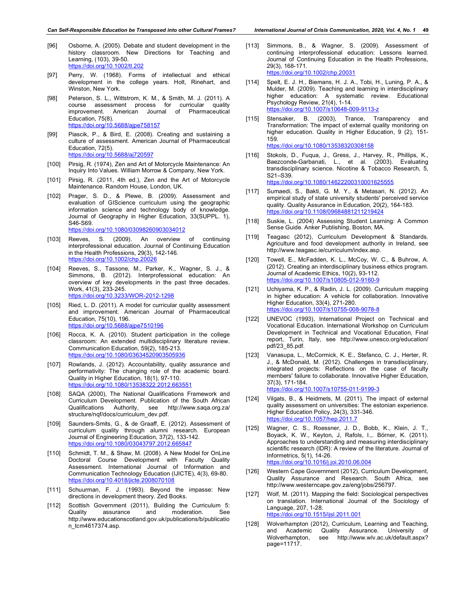- [96] Osborne, A. (2005). Debate and student development in the history classroom. New Directions for Teaching and Learning, (103), 39-50. https://doi.org/10.1002/tl.202
- [97] Perry, W. (1968). Forms of intellectual and ethical development in the college years. Holt, Rinehart, and Winston, New York.
- [98] Peterson, S. L., Wittstrom, K. M., & Smith, M. J. (2011). A course assessment process for curricular quality improvement. American Journal of Pharmaceutical Education, 75(8). https://doi.org/10.5688/ajpe758157
- [99] Piascik, P., & Bird, E. (2008). Creating and sustaining a culture of assessment. American Journal of Pharmaceutical Education, 72(5). https://doi.org/10.5688/aj720597
- [100] Pirsig, R. (1974), Zen and Art of Motorcycle Maintenance: An Inquiry Into Values. William Morrow & Company, New York.
- [101] Pirsig, R. (2011, 4th ed.), Zen and the Art of Motorcycle Maintenance. Random House, London, UK.
- [102] Prager, S. D., & Plewe, B. (2009). Assessment and evaluation of GIScience curriculum using the geographic information science and technology body of knowledge. Journal of Geography in Higher Education, 33(SUPPL. 1), S46-S69. https://doi.org/10.1080/03098260903034012
- [103] Reeves, S. (2009). An overview of continuing interprofessional education. Journal of Continuing Education in the Health Professions, 29(3), 142-146. https://doi.org/10.1002/chp.20026
- [104] Reeves, S., Tassone, M., Parker, K., Wagner, S. J., & Simmons, B. (2012). Interprofessional education: An overview of key developments in the past three decades. Work, 41(3), 233-245. https://doi.org/10.3233/WOR-2012-1298
- [105] Ried, L. D. (2011). A model for curricular quality assessment and improvement. American Journal of Pharmaceutical Education, 75(10), 196. https://doi.org/10.5688/ajpe7510196
- [106] Rocca, K. A. (2010). Student participation in the college classroom: An extended multidisciplinary literature review. Communication Education, 59(2), 185-213. https://doi.org/10.1080/03634520903505936
- [107] Rowlands, J. (2012). Accountability, quality assurance and performativity: The changing role of the academic board. Quality in Higher Education, 18(1), 97-110.<br>https://doi.org/10.1080/13538322.2012.663551 https://doi.org/10.1080/13538322
- [108] SAQA (2000), The National Qualifications Framework and Curriculum Development. Publication of the South African Qualifications Authority, see http://www.saqa.org.za/ structure/nqf/docs/curriculum\_dev.pdf.
- [109] Saunders-Smits, G., & de Graaff, E. (2012). Assessment of curriculum quality through alumni research. European Journal of Engineering Education, 37(2), 133-142. https://doi.org/10.1080/03043797.2012.665847
- [110] Schmidt, T. M., & Shaw, M. (2008). A New Model for OnLine Doctoral Course Development with Faculty Quality Assessment. International Journal of Information and Communication Technology Education (IJICTE), 4(3), 69-80. https://doi.org/10.4018/jicte.2008070108
- [111] Schuurman, F. J. (1993). Beyond the impasse: New directions in development theory. Zed Books.
- [112] Scottish Government (2011), Building the Curriculum 5: Quality assurance and moderation. See http://www.educationscotland.gov.uk/publications/b/publicatio n\_tcm4617374.asp.
- [113] Simmons, B., & Wagner, S. (2009). Assessment of continuing interprofessional education: Lessons learned. Journal of Continuing Education in the Health Professions, 29(3), 168-171. https://doi.org/10.1002/chp.20031
- [114] Spelt, E. J. H., Biemans, H. J. A., Tobi, H., Luning, P. A., & Mulder, M. (2009). Teaching and learning in interdisciplinary higher education: A systematic review. Educational Psychology Review, 21(4), 1-14. https://doi.org/10.1007/s10648-009-9113-z
- [115] Stensaker, B. (2003), Trance, Transparency and Transformation: The impact of external quality monitoring on higher education. Quality in Higher Education, 9 (2), 151- 159. https://doi.org/10.1080/13538320308158
- [116] Stokols, D., Fuqua, J., Gress, J., Harvey, R., Phillips, K., Baezconde-Garbanati, L., et al. (2003). Evaluating transdisciplinary science. Nicotine & Tobacco Research, 5, S21–S39. https://doi.org/10.1080/14622200310001625555
- [117] Sumaedi, S., Bakti, G. M. Y., & Metasari, N. (2012). An empirical study of state university students' perceived service quality. Quality Assurance in Education, 20(2), 164-183. https://doi.org/10.1108/09684881211219424
- [118] Suskie, L. (2004) Assessing Student Learning: A Common Sense Guide. Anker Publishing, Boston, MA.
- [119] Teagasc (2012), Curriculum Development & Standards. Agriculture and food development authority in Ireland, see http://www.teagasc.ie/curriculum/index.asp.
- [120] Towell, E., McFadden, K. L., McCoy, W. C., & Buhrow, A. (2012). Creating an interdisciplinary business ethics program. Journal of Academic Ethics, 10(2), 93-112. https://doi.org/10.1007/s10805-012-9160-9
- [121] Uchiyama, K. P., & Radin, J. L. (2009). Curriculum mapping in higher education: A vehicle for collaboration. Innovative Higher Education, 33(4), 271-280. https://doi.org/10.1007/s10755-008-9078-8
- [122] UNEVOC (1993), International Project on Technical and Vocational Education. International Workshop on Curriculum Development in Technical and Vocational Education, Final report, Turin, Italy, see http://www.unesco.org/education/ pdf/23\_85.pdf.
- [123] Vanasupa, L., McCormick, K. E., Stefanco, C. J., Herter, R. J., & McDonald, M. (2012). Challenges in transdisciplinary, integrated projects: Reflections on the case of faculty members' failure to collaborate. Innovative Higher Education, 37(3), 171-184. https://doi.org/10.1007/s10755-011-9199-3
- [124] Vilgats, B., & Heidmets, M. (2011). The impact of external quality assessment on universities: The estonian experience. Higher Education Policy, 24(3), 331-346. https://doi.org/10.1057/hep.2011.7
- [125] Wagner, C. S., Roessner, J. D., Bobb, K., Klein, J. T., Boyack, K. W., Keyton, J, Rafols, I.,. Börner, K. (2011). Approaches to understanding and measuring interdisciplinary scientific research (IDR): A review of the literature. Journal of Informetrics, 5(1), 14-26. https://doi.org/10.1016/j.joi.2010.06.004
- [126] Western Cape Government (2012), Curriculum Development, Quality Assurance and Research. South Africa, see http://www.westerncape.gov.za/eng/jobs/256797.
- [127] Wolf, M. (2011). Mapping the field: Sociological perspectives on translation. International Journal of the Sociology of Language, 207, 1-28. https://doi.org/10.1515/ijsl.2011.001
- [128] Wolverhampton (2012), Curriculum, Learning and Teaching, and Academic Quality Assurance. University of Wolverhampton, see http://www.wlv.ac.uk/default.aspx? page=11717.